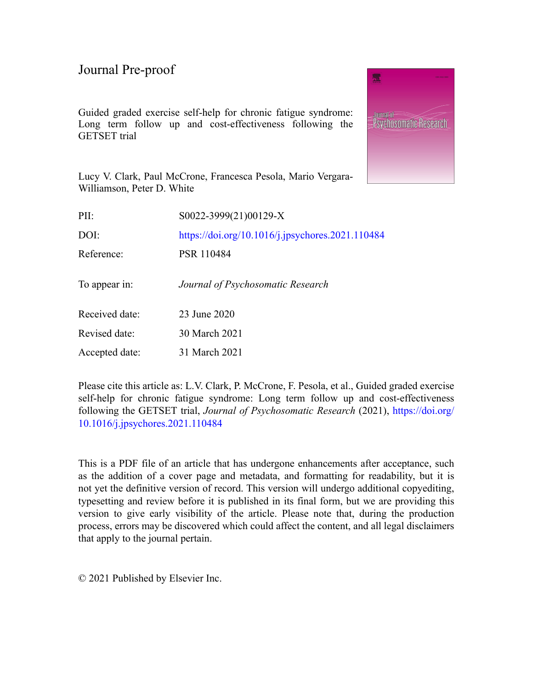Guided graded exercise self-help for chronic fatigue syndrome: Long term follow up and cost-effectiveness following the GETSET trial



Lucy V. Clark, Paul McCrone, Francesca Pesola, Mario Vergara-Williamson, Peter D. White

| S0022-3999(21)00129-X                            |
|--------------------------------------------------|
| https://doi.org/10.1016/j.jpsychores.2021.110484 |
| PSR 110484                                       |
| Journal of Psychosomatic Research                |
| 23 June 2020                                     |
| 30 March 2021                                    |
| 31 March 2021                                    |
|                                                  |

Please cite this article as: L.V. Clark, P. McCrone, F. Pesola, et al., Guided graded exercise self-help for chronic fatigue syndrome: Long term follow up and cost-effectiveness following the GETSET trial, *Journal of Psychosomatic Research* (2021), [https://doi.org/](https://doi.org/10.1016/j.jpsychores.2021.110484) [10.1016/j.jpsychores.2021.110484](https://doi.org/10.1016/j.jpsychores.2021.110484)

This is a PDF file of an article that has undergone enhancements after acceptance, such as the addition of a cover page and metadata, and formatting for readability, but it is not yet the definitive version of record. This version will undergo additional copyediting, typesetting and review before it is published in its final form, but we are providing this version to give early visibility of the article. Please note that, during the production process, errors may be discovered which could affect the content, and all legal disclaimers that apply to the journal pertain.

© 2021 Published by Elsevier Inc.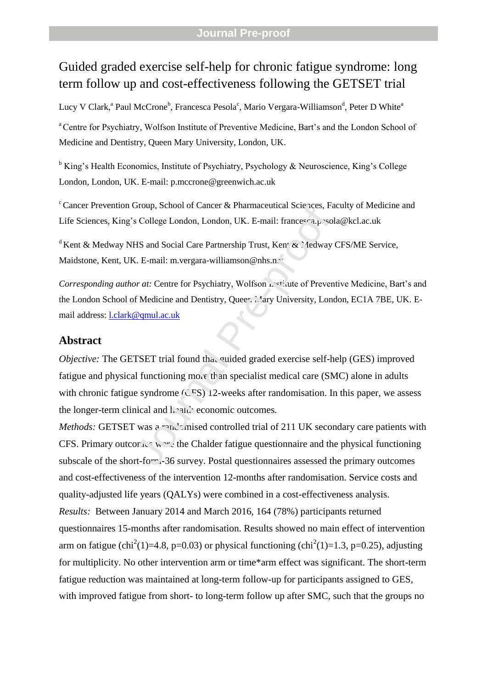# Guided graded exercise self-help for chronic fatigue syndrome: long term follow up and cost-effectiveness following the GETSET trial

Lucy V Clark,<sup>a</sup> Paul McCrone<sup>b</sup>, Francesca Pesola<sup>c</sup>, Mario Vergara-Williamson<sup>d</sup>, Peter D White<sup>a</sup>

<sup>a</sup> Centre for Psychiatry, Wolfson Institute of Preventive Medicine, Bart's and the London School of Medicine and Dentistry, Queen Mary University, London, UK.

 $\overline{b}$  King's Health Economics, Institute of Psychiatry, Psychology & Neuroscience, King's College London, London, UK. E-mail: p.mccrone@greenwich.ac.uk

 $c^c$ Cancer Prevention Group, School of Cancer & Pharmaceutical Sciences, Faculty of Medicine and Life Sciences, King's College London, London, UK. E-mail: francesca.pesola@kcl.ac.uk

<sup>d</sup> Kent & Medway NHS and Social Care Partnership Trust, Kent  $\alpha$ . Iedway CFS/ME Service, Maidstone, Kent, UK. E-mail: m.vergara-williamson@nhs.net

*Corresponding author at:* Centre for Psychiatry, Wolfson *institute of Preventive Medicine, Bart's and* the London School of Medicine and Dentistry, Queer Mary University, London, EC1A 7BE, UK. Email address: l.clark@qmul.ac.uk

### **Abstract**

*Objective:* The GETSET trial found that quided graded exercise self-help (GES) improved fatigue and physical functioning more than specialist medical care (SMC) alone in adults with chronic fatigue syndrome  $(\overline{CFS})$  12-weeks after randomisation. In this paper, we assess the longer-term clinical and health economic outcomes. Group, School of Cancer & Pharmaceutical Sciences, Fa<br>
S College London, London, UK. E-mail: francesca.<sub>F</sub> -sol<br>
HS and Social Care Partnership Trust, Ken' & *A*edway<br>
X. E-mail: m.vergara-williamson@nhs.nc<br> *Nor at:* Cen

*Methods:* GETSET was a randomised controlled trial of 211 UK secondary care patients with CFS. Primary outcomes were the Chalder fatigue questionnaire and the physical functioning subscale of the short-form. 36 survey. Postal questionnaires assessed the primary outcomes and cost-effectiveness of the intervention 12-months after randomisation. Service costs and quality-adjusted life years (QALYs) were combined in a cost-effectiveness analysis. *Results:* Between January 2014 and March 2016, 164 (78%) participants returned questionnaires 15-months after randomisation. Results showed no main effect of intervention arm on fatigue (chi<sup>2</sup>(1)=4.8, p=0.03) or physical functioning (chi<sup>2</sup>(1)=1.3, p=0.25), adjusting for multiplicity. No other intervention arm or time\*arm effect was significant. The short-term fatigue reduction was maintained at long-term follow-up for participants assigned to GES, with improved fatigue from short- to long-term follow up after SMC, such that the groups no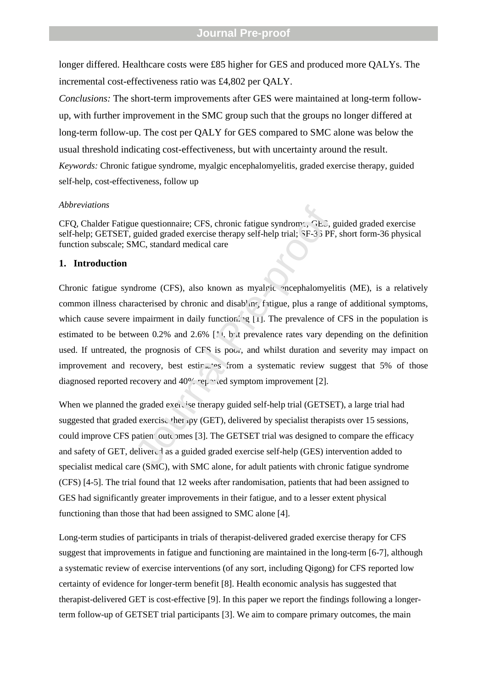longer differed. Healthcare costs were £85 higher for GES and produced more QALYs. The incremental cost-effectiveness ratio was £4,802 per QALY.

*Conclusions:* The short-term improvements after GES were maintained at long-term followup, with further improvement in the SMC group such that the groups no longer differed at long-term follow-up. The cost per QALY for GES compared to SMC alone was below the usual threshold indicating cost-effectiveness, but with uncertainty around the result. *Keywords:* Chronic fatigue syndrome, myalgic encephalomyelitis, graded exercise therapy, guided self-help, cost-effectiveness, follow up

### *Abbreviations*

CFQ, Chalder Fatigue questionnaire; CFS, chronic fatigue syndrome; GES, guided graded exercise self-help; GETSET, guided graded exercise therapy self-help trial; SF-3 5 PF, short form-36 physical function subscale; SMC, standard medical care

### **1. Introduction**

Chronic fatigue syndrome (CFS), also known as myalgic encephalomyelitis (ME), is a relatively common illness characterised by chronic and disabling fatigue, plus a range of additional symptoms, which cause severe impairment in daily functioning [1]. The prevalence of CFS in the population is estimated to be between 0.2% and 2.6%  $\lceil 1 \rceil$ , but prevalence rates vary depending on the definition used. If untreated, the prognosis of CFS is poor, and whilst duration and severity may impact on improvement and recovery, best estimates from a systematic review suggest that 5% of those diagnosed reported recovery and 40% reported symptom improvement [2]. be questionnaire; CFS, chronic fatigue syndrome,  $G.E.S.$  guided graded exercise therapy self-help trial;  $3F-3.3$  PF<br>MC, standard medical care<br>drome (CFS), also known as myaleic -ncephalomyel<br>acterised by chronic and disab

When we planned the graded exercise therapy guided self-help trial (GETSET), a large trial had suggested that graded exercise therapy (GET), delivered by specialist therapists over 15 sessions, could improve CFS patient outcomes [3]. The GETSET trial was designed to compare the efficacy and safety of GET, delivered as a guided graded exercise self-help (GES) intervention added to specialist medical care (SMC), with SMC alone, for adult patients with chronic fatigue syndrome (CFS) [4-5]. The trial found that 12 weeks after randomisation, patients that had been assigned to GES had significantly greater improvements in their fatigue, and to a lesser extent physical functioning than those that had been assigned to SMC alone [4].

Long-term studies of participants in trials of therapist-delivered graded exercise therapy for CFS suggest that improvements in fatigue and functioning are maintained in the long-term [6-7], although a systematic review of exercise interventions (of any sort, including Qigong) for CFS reported low certainty of evidence for longer-term benefit [8]. Health economic analysis has suggested that therapist-delivered GET is cost-effective [9]. In this paper we report the findings following a longerterm follow-up of GETSET trial participants [3]. We aim to compare primary outcomes, the main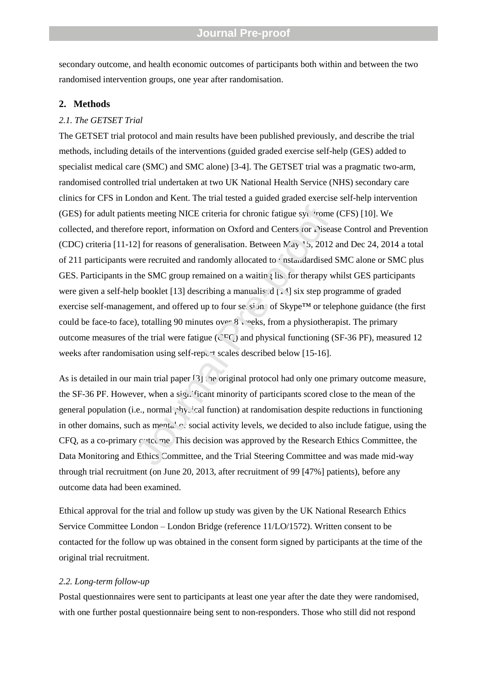secondary outcome, and health economic outcomes of participants both within and between the two randomised intervention groups, one year after randomisation.

### **2. Methods**

### *2.1. The GETSET Trial*

The GETSET trial protocol and main results have been published previously, and describe the trial methods, including details of the interventions (guided graded exercise self-help (GES) added to specialist medical care (SMC) and SMC alone) [3-4]. The GETSET trial was a pragmatic two-arm, randomised controlled trial undertaken at two UK National Health Service (NHS) secondary care clinics for CFS in London and Kent. The trial tested a guided graded exercise self-help intervention (GES) for adult patients meeting NICE criteria for chronic fatigue syndrome (CFS)  $[10]$ . We collected, and therefore report, information on Oxford and Centers for Disease Control and Prevention (CDC) criteria [11-12] for reasons of generalisation. Between  $\text{May } 5, 2012$  and Dec 24, 2014 a total of 211 participants were recruited and randomly allocated to  $\cdot$  ustandardised SMC alone or SMC plus GES. Participants in the SMC group remained on a waiting list for therapy whilst GES participants were given a self-help booklet [13] describing a manualis  $d \mid 1/4$  six step programme of graded exercise self-management, and offered up to four sessions of Skype™ or telephone guidance (the first could be face-to face), totalling 90 minutes over 8 weeks, from a physiotherapist. The primary outcome measures of the trial were fatigue ( $C^{CT}$ ) and physical functioning (SF-36 PF), measured 12 weeks after randomisation using self-report scales described below [15-16]. ants meeting NICE criteria for chronic fatigue sy.  $\cdot$  rome<br>ore report, information on Oxford and Centers  $\cdot$  or  $\cdot$  sisear.<br>2] for reasons of generalisation. Between  $\text{Vay } ^tS$ , 2012<br>vere recruited and randomly alloc

As is detailed in our main trial paper  $[3]$  the original protocol had only one primary outcome measure, the SF-36 PF. However, when a significant minority of participants scored close to the mean of the general population (i.e., normal  $\gamma$ hysical function) at randomisation despite reductions in functioning in other domains, such as mental  $\sim$  social activity levels, we decided to also include fatigue, using the  $CFO$ , as a co-primary  $C$  to  $C$  This decision was approved by the Research Ethics Committee, the Data Monitoring and Ethics Committee, and the Trial Steering Committee and was made mid-way through trial recruitment (on June 20, 2013, after recruitment of 99 [47%] patients), before any outcome data had been examined.

Ethical approval for the trial and follow up study was given by the UK National Research Ethics Service Committee London – London Bridge (reference 11/LO/1572). Written consent to be contacted for the follow up was obtained in the consent form signed by participants at the time of the original trial recruitment.

#### *2.2. Long-term follow-up*

Postal questionnaires were sent to participants at least one year after the date they were randomised, with one further postal questionnaire being sent to non-responders. Those who still did not respond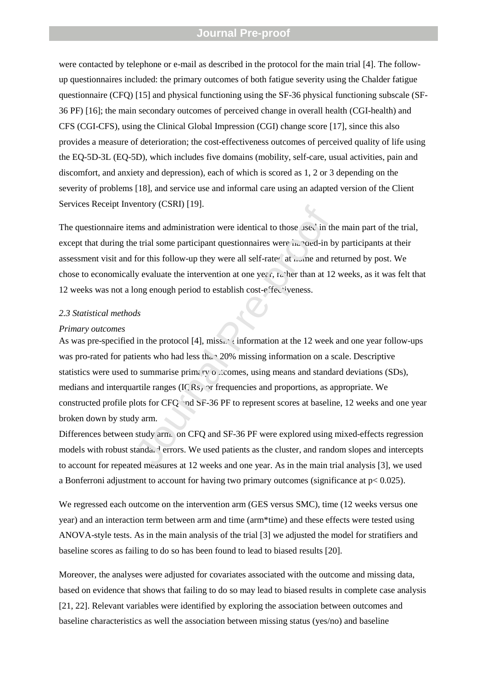were contacted by telephone or e-mail as described in the protocol for the main trial [4]. The followup questionnaires included: the primary outcomes of both fatigue severity using the Chalder fatigue questionnaire (CFQ) [15] and physical functioning using the SF-36 physical functioning subscale (SF-36 PF) [16]; the main secondary outcomes of perceived change in overall health (CGI-health) and CFS (CGI-CFS), using the Clinical Global Impression (CGI) change score [17], since this also provides a measure of deterioration; the cost-effectiveness outcomes of perceived quality of life using the EQ-5D-3L (EQ-5D), which includes five domains (mobility, self-care, usual activities, pain and discomfort, and anxiety and depression), each of which is scored as 1, 2 or 3 depending on the severity of problems [18], and service use and informal care using an adapted version of the Client Services Receipt Inventory (CSRI) [19].

The questionnaire items and administration were identical to those used in the main part of the trial, except that during the trial some participant questionnaires were  $\hat{h}$  and  $\hat{h}$  and  $\hat{h}$  by participants at their assessment visit and for this follow-up they were all self-rate $\alpha$  at  $\alpha$  and returned by post. We chose to economically evaluate the intervention at one year, rather than at 12 weeks, as it was felt that 12 weeks was not a long enough period to establish cost-effectiveness.

#### *2.3 Statistical methods*

#### *Primary outcomes*

As was pre-specified in the protocol [4], missing information at the 12 week and one year follow-ups was pro-rated for patients who had less than 20% missing information on a scale. Descriptive statistics were used to summarise primary outcomes, using means and standard deviations  $(SDs)$ , medians and interquartile ranges (ICRs) or frequencies and proportions, as appropriate. We constructed profile plots for CFQ and SF-36 PF to represent scores at baseline, 12 weeks and one year broken down by study arm. ETHET THE STATE THE UNIVER THE THE STATE THAND HERE IN SURVEY THE STATE THE STATE THE STATE THE STATE THE STATE THE PROPORTION OF THE PROOF THE PROOF THE PROOF THE PROOF THE PROOF THE PROOF OF CHECAL THE PROOF OF CHECAL T

Differences between study arm. on CFQ and SF-36 PF were explored using mixed-effects regression models with robust standard errors. We used patients as the cluster, and random slopes and intercepts to account for repeated measures at 12 weeks and one year. As in the main trial analysis [3], we used a Bonferroni adjustment to account for having two primary outcomes (significance at p< 0.025).

We regressed each outcome on the intervention arm (GES versus SMC), time (12 weeks versus one year) and an interaction term between arm and time (arm\*time) and these effects were tested using ANOVA-style tests. As in the main analysis of the trial [3] we adjusted the model for stratifiers and baseline scores as failing to do so has been found to lead to biased results [20].

Moreover, the analyses were adjusted for covariates associated with the outcome and missing data, based on evidence that shows that failing to do so may lead to biased results in complete case analysis [21, 22]. Relevant variables were identified by exploring the association between outcomes and baseline characteristics as well the association between missing status (yes/no) and baseline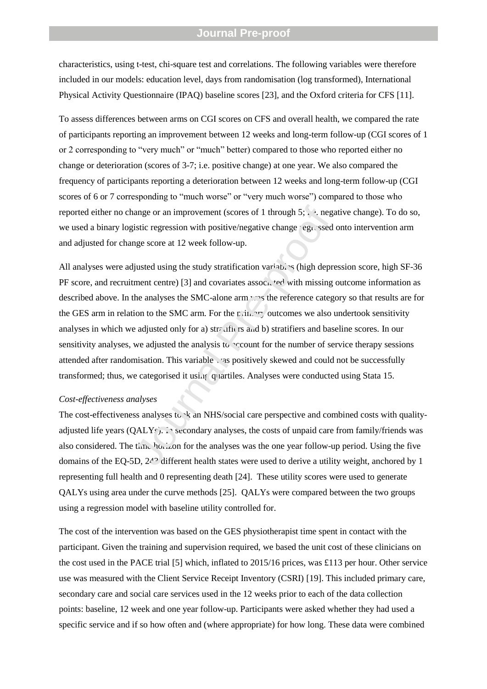characteristics, using t-test, chi-square test and correlations. The following variables were therefore included in our models: education level, days from randomisation (log transformed), International Physical Activity Questionnaire (IPAQ) baseline scores [23], and the Oxford criteria for CFS [11].

To assess differences between arms on CGI scores on CFS and overall health, we compared the rate of participants reporting an improvement between 12 weeks and long-term follow-up (CGI scores of 1 or 2 corresponding to "very much" or "much" better) compared to those who reported either no change or deterioration (scores of 3-7; i.e. positive change) at one year. We also compared the frequency of participants reporting a deterioration between 12 weeks and long-term follow-up (CGI scores of 6 or 7 corresponding to "much worse" or "very much worse") compared to those who reported either no change or an improvement (scores of 1 through  $5$ ;  $\therefore$  e. negative change). To do so, we used a binary logistic regression with positive/negative change regressed onto intervention arm and adjusted for change score at 12 week follow-up.

All analyses were adjusted using the study stratification variables (high depression score, high SF-36 PF score, and recruitment centre) [3] and covariates associated with missing outcome information as described above. In the analyses the SMC-alone arm was the reference category so that results are for the GES arm in relation to the SMC arm. For the  $\rm r.in.$   $\rm \cdot r$  outcomes we also undertook sensitivity analyses in which we adjusted only for a) str differently is and b) stratifiers and baseline scores. In our sensitivity analyses, we adjusted the analysis to  $\sim$  count for the number of service therapy sessions attended after randomisation. This variable was positively skewed and could not be successfully transformed; thus, we categorised it using quartiles. Analyses were conducted using Stata 15. ange or an improvement (scores of 1 through 5;  $\therefore$  negatistic regression with positive/negative change 'egi, ssed<br>ge score at 12 week follow-up.<br>justed using the study stratification variab, s (high deprement centre) [3

#### *Cost-effectiveness analyses*

The cost-effectiveness analyses to  $k$  an NHS/social care perspective and combined costs with qualityadjusted life years ( $QALYs$ ). In secondary analyses, the costs of unpaid care from family/friends was also considered. The time horizon for the analyses was the one year follow-up period. Using the five domains of the EQ-5D, 243 different health states were used to derive a utility weight, anchored by 1 representing full health and 0 representing death [24]. These utility scores were used to generate QALYs using area under the curve methods [25]. QALYs were compared between the two groups using a regression model with baseline utility controlled for.

The cost of the intervention was based on the GES physiotherapist time spent in contact with the participant. Given the training and supervision required, we based the unit cost of these clinicians on the cost used in the PACE trial [5] which, inflated to 2015/16 prices, was £113 per hour. Other service use was measured with the Client Service Receipt Inventory (CSRI) [19]. This included primary care, secondary care and social care services used in the 12 weeks prior to each of the data collection points: baseline, 12 week and one year follow-up. Participants were asked whether they had used a specific service and if so how often and (where appropriate) for how long. These data were combined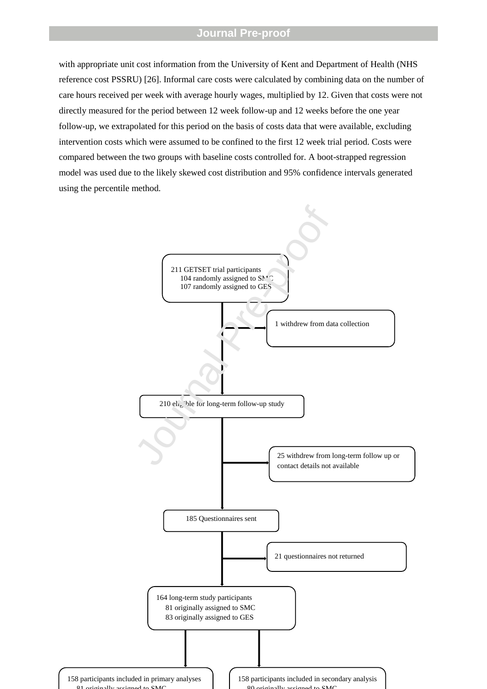with appropriate unit cost information from the University of Kent and Department of Health (NHS reference cost PSSRU) [26]. Informal care costs were calculated by combining data on the number of care hours received per week with average hourly wages, multiplied by 12. Given that costs were not directly measured for the period between 12 week follow-up and 12 weeks before the one year follow-up, we extrapolated for this period on the basis of costs data that were available, excluding intervention costs which were assumed to be confined to the first 12 week trial period. Costs were compared between the two groups with baseline costs controlled for. A boot-strapped regression model was used due to the likely skewed cost distribution and 95% confidence intervals generated using the percentile method.

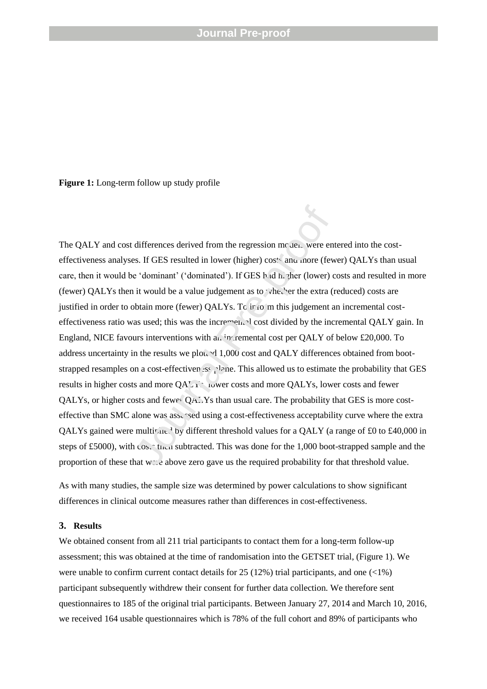**Figure 1:** Long-term follow up study profile

The QALY and cost differences derived from the regression models were entered into the costeffectiveness analyses. If GES resulted in lower (higher) costs and more (fewer) QALYs than usual care, then it would be 'dominant' ('dominated'). If GES h id h. zher (lower) costs and resulted in more (fewer) QALYs then it would be a value judgement as to whether the extra (reduced) costs are justified in order to obtain more (fewer) QALYs. To  $\text{ir.o. m}$  this judgement an incremental costeffectiveness ratio was used; this was the incremental cost divided by the incremental QALY gain. In England, NICE favours interventions with an  $\cdot$  remental cost per QALY of below £20,000. To address uncertainty in the results we plotted 1,000 cost and QALY differences obtained from bootstrapped resamples on a cost-effectiven  $\mathfrak{ss}$ , lane. This allowed us to estimate the probability that GES results in higher costs and more QALYs, lower costs and more QALYs, lower costs and fewer QALYs, or higher costs and fewer  $Q_A$ . Ys than usual care. The probability that GES is more costeffective than SMC alone was assessed using a cost-effectiveness acceptability curve where the extra QALYs gained were multiplied by different threshold values for a QALY (a range of £0 to £40,000 in steps of £5000), with  $\cos x$  then subtracted. This was done for the 1,000 boot-strapped sample and the proportion of these that  $w \leq c$  above zero gave us the required probability for that threshold value. differences derived from the regression mc and were energy ass. If GES resulted in lower (higher) cost and more (few it would be a value judgement as to vhet he extra (to be a value in the angulary of the extra (to be a v

As with many studies, the sample size was determined by power calculations to show significant differences in clinical outcome measures rather than differences in cost-effectiveness.

### **3. Results**

We obtained consent from all 211 trial participants to contact them for a long-term follow-up assessment; this was obtained at the time of randomisation into the GETSET trial, (Figure 1). We were unable to confirm current contact details for 25 (12%) trial participants, and one  $\langle$ <1%) participant subsequently withdrew their consent for further data collection. We therefore sent questionnaires to 185 of the original trial participants. Between January 27, 2014 and March 10, 2016, we received 164 usable questionnaires which is 78% of the full cohort and 89% of participants who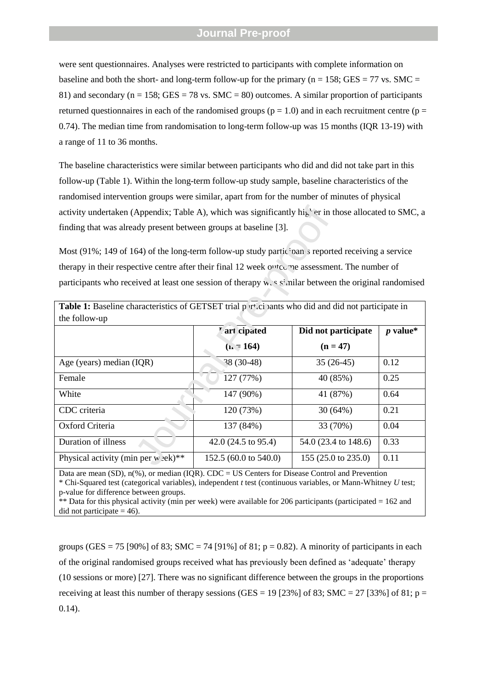were sent questionnaires. Analyses were restricted to participants with complete information on baseline and both the short- and long-term follow-up for the primary ( $n = 158$ ; GES = 77 vs. SMC = 81) and secondary ( $n = 158$ ; GES = 78 vs. SMC = 80) outcomes. A similar proportion of participants returned questionnaires in each of the randomised groups ( $p = 1.0$ ) and in each recruitment centre ( $p =$ 0.74). The median time from randomisation to long-term follow-up was 15 months (IQR 13-19) with a range of 11 to 36 months.

The baseline characteristics were similar between participants who did and did not take part in this follow-up (Table 1). Within the long-term follow-up study sample, baseline characteristics of the randomised intervention groups were similar, apart from for the number of minutes of physical activity undertaken (Appendix; Table A), which was significantly higher in those allocated to SMC, a finding that was already present between groups at baseline [3].

| activity undertaken (Appendix; Table A), which was significantly higher in those allocated to SMC, a                   |                                       |                      |            |  |  |  |
|------------------------------------------------------------------------------------------------------------------------|---------------------------------------|----------------------|------------|--|--|--|
| finding that was already present between groups at baseline [3].                                                       |                                       |                      |            |  |  |  |
|                                                                                                                        |                                       |                      |            |  |  |  |
| Most (91%; 149 of 164) of the long-term follow-up study partic pan's reported receiving a service                      |                                       |                      |            |  |  |  |
| therapy in their respective centre after their final 12 week outcome assessment. The number of                         |                                       |                      |            |  |  |  |
| participants who received at least one session of therapy was similar between the original randomised                  |                                       |                      |            |  |  |  |
|                                                                                                                        |                                       |                      |            |  |  |  |
| Table 1: Baseline characteristics of GETSET trial p r <sup><i>i</i></sup> .ci bants who did and did not participate in |                                       |                      |            |  |  |  |
| the follow-up                                                                                                          |                                       |                      |            |  |  |  |
|                                                                                                                        | '.'ar' cipated<br>Did not participate |                      | $p$ value* |  |  |  |
|                                                                                                                        | $(n - 164)$                           | $(n = 47)$           |            |  |  |  |
| Age (years) median (IQR)                                                                                               | $38(30-48)$                           | $35(26-45)$          | 0.12       |  |  |  |
| Female                                                                                                                 | 127 (77%)                             | 40 (85%)             | 0.25       |  |  |  |
| White                                                                                                                  | 147 (90%)                             | 41 (87%)             | 0.64       |  |  |  |
| CDC criteria                                                                                                           | 120 (73%)                             | 30(64%)              | 0.21       |  |  |  |
| Oxford Criteria                                                                                                        | 137 (84%)                             | 33 (70%)             | 0.04       |  |  |  |
| Duration of illness                                                                                                    | 42.0 $(24.5 \text{ to } 95.4)$        | 54.0 (23.4 to 148.6) | 0.33       |  |  |  |
| Physical activity (min per w $\text{ek}$ )**                                                                           | 152.5 (60.0 to 540.0)                 | 155 (25.0 to 235.0)  | 0.11       |  |  |  |

Data are mean (SD), n(%), or median (IQR). CDC = US Centers for Disease Control and Prevention \* Chi-Squared test (categorical variables), independent *t* test (continuous variables, or Mann-Whitney *U* test; p-value for difference between groups. \*\* Data for this physical activity (min per week) were available for 206 participants (participated = 162 and

did not participate  $= 46$ ).

groups (GES = 75 [90%] of 83; SMC = 74 [91%] of 81;  $p = 0.82$ ). A minority of participants in each of the original randomised groups received what has previously been defined as "adequate" therapy (10 sessions or more) [27]. There was no significant difference between the groups in the proportions receiving at least this number of therapy sessions (GES = 19 [23%] of 83; SMC = 27 [33%] of 81;  $p =$ 0.14).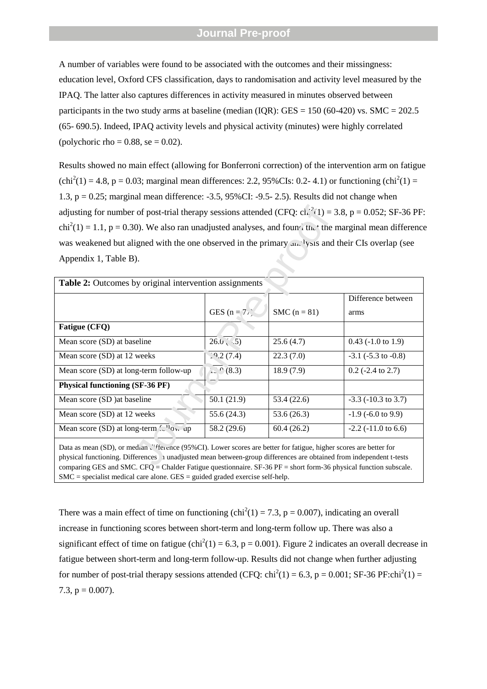A number of variables were found to be associated with the outcomes and their missingness: education level, Oxford CFS classification, days to randomisation and activity level measured by the IPAQ. The latter also captures differences in activity measured in minutes observed between participants in the two study arms at baseline (median (IQR): GES =  $150$  (60-420) vs. SMC =  $202.5$ (65- 690.5). Indeed, IPAQ activity levels and physical activity (minutes) were highly correlated (polychoric rho =  $0.88$ , se =  $0.02$ ).

Results showed no main effect (allowing for Bonferroni correction) of the intervention arm on fatigue  $\text{(chi}^2(1) = 4.8, \, \text{p} = 0.03; \, \text{marginal mean differences: } 2.2, \, 95\% \text{CIs: } 0.2-4.1 \text{)} \, \text{or } \text{functioning } \text{(chi}^2(1) = 0.03; \, \text{marginal mean differences: } 2.2, \, 95\% \text{CIs: } 0.2-4.1 \text{)} \, \text{or } \text{functioning } \text{(chi}^2(1) = 0.03; \, \text{marginal mean differences: } 0.2, \, 95\% \text{CIs: } 0.2-4.1 \text{)} \$ 1.3, p = 0.25; marginal mean difference: -3.5, 95%CI: -9.5- 2.5). Results did not change when adjusting for number of post-trial therapy sessions attended (CFQ:  $ch^{-2}(1) = 3.8$ , p = 0.052; SF-36 PF:  $chi^2(1) = 1.1$ , p = 0.30). We also ran unadjusted analyses, and found that the marginal mean difference was weakened but aligned with the one observed in the primary  $\ldots$  'ysis and their CIs overlap (see Appendix 1, Table B).

| adjusting for number of post-trial therapy sessions attended (CFQ: $ch^2(1) = 3.8$ , p = 0.052; SF-36 PF                                                                                                                                                                                                                                                         |                     |                |                             |
|------------------------------------------------------------------------------------------------------------------------------------------------------------------------------------------------------------------------------------------------------------------------------------------------------------------------------------------------------------------|---------------------|----------------|-----------------------------|
| $chi^2(1) = 1.1$ , p = 0.30). We also ran unadjusted analyses, and found that the marginal mean difference                                                                                                                                                                                                                                                       |                     |                |                             |
| was weakened but aligned with the one observed in the primary and ysis and their CIs overlap (see                                                                                                                                                                                                                                                                |                     |                |                             |
| Appendix 1, Table B).                                                                                                                                                                                                                                                                                                                                            |                     |                |                             |
|                                                                                                                                                                                                                                                                                                                                                                  |                     |                |                             |
| Table 2: Outcomes by original intervention assignments                                                                                                                                                                                                                                                                                                           |                     |                |                             |
|                                                                                                                                                                                                                                                                                                                                                                  |                     |                | Difference between          |
|                                                                                                                                                                                                                                                                                                                                                                  | GES ( $n = 77$ )    | SMC $(n = 81)$ | arms                        |
| Fatigue (CFQ)                                                                                                                                                                                                                                                                                                                                                    |                     |                |                             |
| Mean score (SD) at baseline                                                                                                                                                                                                                                                                                                                                      | $26.0 \times 5$     | 25.6(4.7)      | $0.43$ (-1.0 to 1.9)        |
| Mean score (SD) at 12 weeks                                                                                                                                                                                                                                                                                                                                      | 29.2(7.4)           | 22.3(7.0)      | $-3.1$ ( $-5.3$ to $-0.8$ ) |
| Mean score (SD) at long-term follow-up                                                                                                                                                                                                                                                                                                                           | $\geq$ $^{0}$ (8.3) | 18.9(7.9)      | $0.2$ (-2.4 to 2.7)         |
| <b>Physical functioning (SF-36 PF)</b>                                                                                                                                                                                                                                                                                                                           |                     |                |                             |
| Mean score (SD) at baseline                                                                                                                                                                                                                                                                                                                                      | 50.1(21.9)          | 53.4 (22.6)    | $-3.3$ ( $-10.3$ to 3.7)    |
| Mean score (SD) at 12 weeks                                                                                                                                                                                                                                                                                                                                      | 55.6 (24.3)         | 53.6(26.3)     | $-1.9$ ( $-6.0$ to 9.9)     |
| Mean score (SD) at long-term $\mathcal{L}^{(1)}$ ow-up                                                                                                                                                                                                                                                                                                           | 58.2 (29.6)         | 60.4(26.2)     | $-2.2$ ( $-11.0$ to 6.6)    |
| Data as mean (SD), or median efference (95%CI). Lower scores are better for fatigue, higher scores are better for<br>physical functioning. Differences 1 unadjusted mean between-group differences are obtained from independent t-tests<br>comparing GES and SMC $CFA - Chaldar Editiona$ questionnaire $SE-36$ $DF - short$ form 36 physical function subscale |                     |                |                             |

Data as mean (SD), or median difference (95%CI). Lower scores are better for fatigue, higher scores are better for physical functioning. Differences in unadjusted mean between-group differences are obtained from independent t-tests comparing GES and SMC. CFQ = Chalder Fatigue questionnaire. SF-36 PF = short form-36 physical function subscale.  $SMC$  = specialist medical care alone.  $GES$  = guided graded exercise self-help.

There was a main effect of time on functioning  $\text{(chi}^2(1) = 7.3, \text{p} = 0.007)$ , indicating an overall increase in functioning scores between short-term and long-term follow up. There was also a significant effect of time on fatigue (chi<sup>2</sup>(1) = 6.3, p = 0.001). Figure 2 indicates an overall decrease in fatigue between short-term and long-term follow-up. Results did not change when further adjusting for number of post-trial therapy sessions attended (CFQ:  $\text{chi}^2(1) = 6.3$ , p = 0.001; SF-36 PF: $\text{chi}^2(1) =$ 7.3,  $p = 0.007$ ).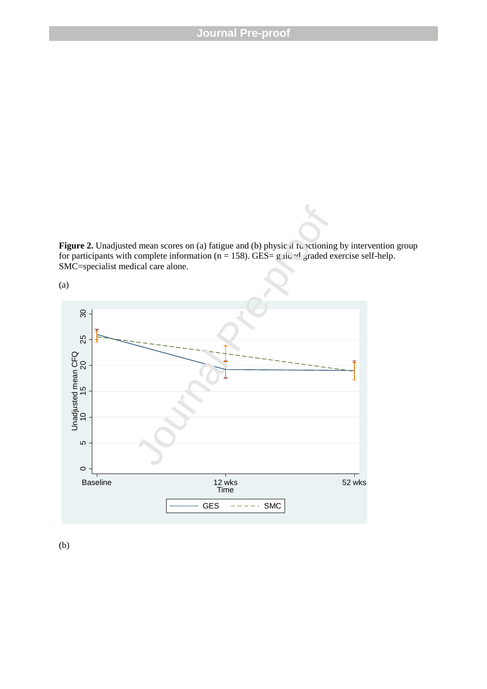**Figure 2.** Unadjusted mean scores on (a) fatigue and (b) physic  $\mu$  functioning by intervention group for participants with complete information (n = 158). GES= g id  $\sim d$  graded exercise self-help. SMC=specialist medical care alone.



(b)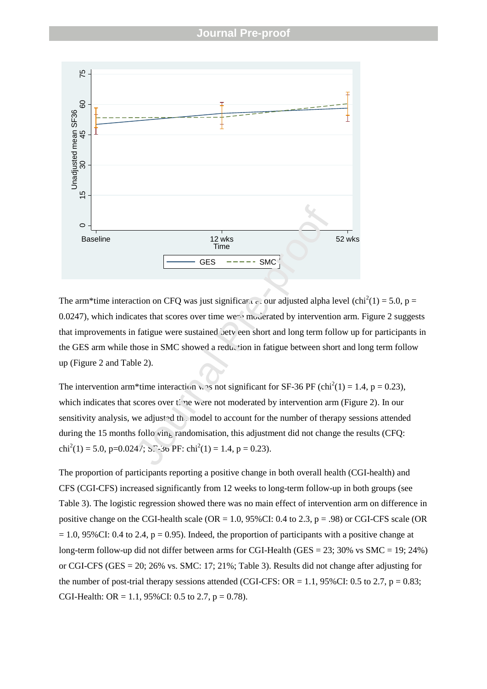

The arm\*time interaction on CFQ was just significant at our adjusted alpha level (chi<sup>2</sup>(1) = 5.0, p = 0.0247), which indicates that scores over time were moderated by intervention arm. Figure 2 suggests that improvements in fatigue were sustained oetveen short and long term follow up for participants in the GES arm while those in SMC showed a reduction in fatigue between short and long term follow up (Figure 2 and Table 2).

The intervention arm\*time interaction was not significant for SF-36 PF (chi<sup>2</sup>(1) = 1.4, p = 0.23), which indicates that scores over time were not moderated by intervention arm (Figure 2). In our sensitivity analysis, we adjusted the model to account for the number of therapy sessions attended during the 15 months following randomisation, this adjustment did not change the results (CFQ: chi<sup>2</sup>(1) = 5.0, p=0.0247; S<sup>7</sup>-30 PF: chi<sup>2</sup>(1) = 1.4, p = 0.23).

The proportion of participants reporting a positive change in both overall health (CGI-health) and CFS (CGI-CFS) increased significantly from 12 weeks to long-term follow-up in both groups (see Table 3). The logistic regression showed there was no main effect of intervention arm on difference in positive change on the CGI-health scale ( $OR = 1.0$ , 95%CI: 0.4 to 2.3, p = .98) or CGI-CFS scale (OR  $= 1.0$ , 95%CI: 0.4 to 2.4, p = 0.95). Indeed, the proportion of participants with a positive change at long-term follow-up did not differ between arms for CGI-Health (GES = 23; 30% vs SMC = 19; 24%) or CGI-CFS (GES = 20; 26% vs. SMC: 17; 21%; Table 3). Results did not change after adjusting for the number of post-trial therapy sessions attended (CGI-CFS:  $OR = 1.1$ , 95%CI: 0.5 to 2.7, p = 0.83; CGI-Health: OR = 1.1, 95% CI: 0.5 to 2.7,  $p = 0.78$ ).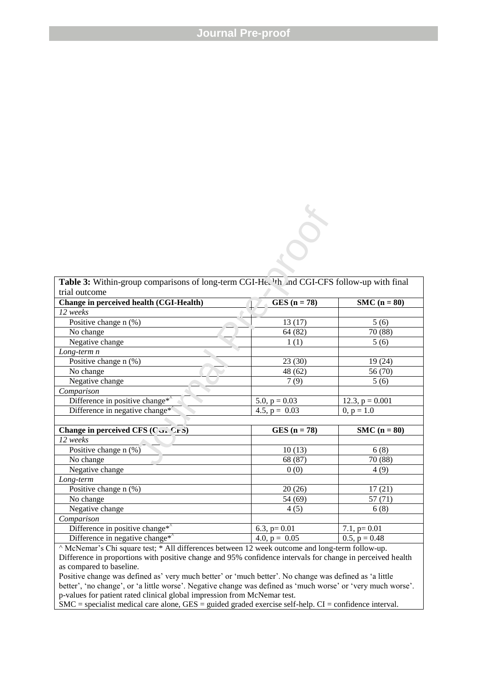| Table 3: Within-group comparisons of long-term CGI-He. <sup>1</sup> th and CGI-CFS follow-up with final |                 |                   |
|---------------------------------------------------------------------------------------------------------|-----------------|-------------------|
| trial outcome                                                                                           |                 |                   |
| Change in perceived health (CGI-Health)                                                                 | $GES (n = 78)$  | $SMC (n = 80)$    |
| 12 weeks                                                                                                |                 |                   |
| Positive change n (%)                                                                                   | 13(17)          | 5(6)              |
| No change                                                                                               | 64(82)          | 70 (88)           |
| Negative change                                                                                         | 1(1)            | 5(6)              |
| $Long-term n$                                                                                           |                 |                   |
| Positive change n (%)                                                                                   | 23(30)          | 19(24)            |
| No change                                                                                               | 48 (62)         | 56 (70)           |
| Negative change                                                                                         | 7(9)            | 5(6)              |
| Comparison                                                                                              |                 |                   |
| Difference in positive change <sup>*</sup>                                                              | 5.0, $p = 0.03$ | 12.3, $p = 0.001$ |
| Difference in negative change <sup>*</sup>                                                              | 4.5, $p = 0.03$ | $0, p = 1.0$      |
|                                                                                                         |                 |                   |
| Change in perceived CFS (CGI CFS)                                                                       | $GES (n = 78)$  | $SMC (n = 80)$    |
| 12 weeks                                                                                                |                 |                   |
| Positive change n (%)                                                                                   | 10(13)          | 6(8)              |
| No change                                                                                               | 68 (87)         | 70 (88)           |
| Negative change                                                                                         | 0(0)            | 4(9)              |
| Long-term                                                                                               |                 |                   |
| Positive change $n$ (%)                                                                                 | 20(26)          | 17(21)            |
| No change                                                                                               | 54 (69)         | 57(71)            |
| Negative change                                                                                         | 4(5)            | 6(8)              |
| Comparison                                                                                              |                 |                   |
| Difference in positive change*                                                                          | 6.3, $p=0.01$   | $7.1, p=0.01$     |
| Difference in negative change*                                                                          | 4.0, $p = 0.05$ | $0.5, p = 0.48$   |
| $\wedge$ McNemar's Chi square test: $*$ All differences between 12 week outcome and long-term follow-up |                 |                   |

^ McNemar"s Chi square test; \* All differences between 12 week outcome and long-term follow-up. Difference in proportions with positive change and 95% confidence intervals for change in perceived health as compared to baseline.

Positive change was defined as' very much better' or 'much better'. No change was defined as 'a little better', 'no change', or 'a little worse'. Negative change was defined as 'much worse' or 'very much worse'. p-values for patient rated clinical global impression from McNemar test.

SMC = specialist medical care alone, GES = guided graded exercise self-help. CI = confidence interval.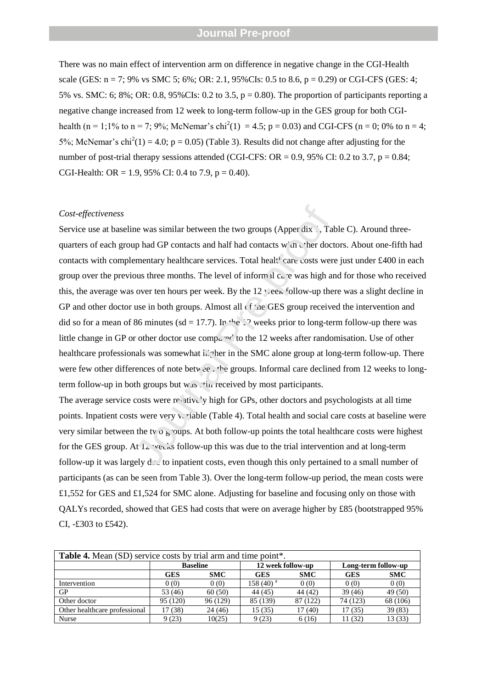There was no main effect of intervention arm on difference in negative change in the CGI-Health scale (GES:  $n = 7$ ; 9% vs SMC 5; 6%; OR: 2.1, 95%CIs: 0.5 to 8.6,  $p = 0.29$ ) or CGI-CFS (GES: 4; 5% vs. SMC: 6; 8%; OR: 0.8, 95%CIs: 0.2 to 3.5,  $p = 0.80$ ). The proportion of participants reporting a negative change increased from 12 week to long-term follow-up in the GES group for both CGIhealth (n = 1;1% to n = 7; 9%; McNemar's chi<sup>2</sup>(1) = 4.5; p = 0.03) and CGI-CFS (n = 0; 0% to n = 4; 5%; McNemar's chi<sup>2</sup>(1) = 4.0; p = 0.05) (Table 3). Results did not change after adjusting for the number of post-trial therapy sessions attended (CGI-CFS: OR =  $0.9$ ,  $95\%$  CI:  $0.2$  to  $3.7$ ,  $p = 0.84$ ; CGI-Health: OR = 1.9, 95% CI: 0.4 to 7.9,  $p = 0.40$ ).

#### *Cost-effectiveness*

Service use at baseline was similar between the two groups (Apper dix 1, Table C). Around threequarters of each group had GP contacts and half had contacts with  $\chi$  her doctors. About one-fifth had contacts with complementary healthcare services. Total healthcare costs were just under £400 in each group over the previous three months. The level of informal care was high and for those who received this, the average was over ten hours per week. By the  $12 \times$  ees follow-up there was a slight decline in GP and other doctor use in both groups. Almost all  $\epsilon f$  and  $\epsilon f$  are GES group received the intervention and did so for a mean of 86 minutes (sd = 17.7). In the 12 weeks prior to long-term follow-up there was little change in GP or other doctor use compared to the 12 weeks after randomisation. Use of other healthcare professionals was somewhat higher in the SMC alone group at long-term follow-up. There were few other differences of note between the groups. Informal care declined from 12 weeks to longterm follow-up in both groups but  $w_{48}$ . the received by most participants. are was similar between the two groups (Apper dix ...) Tall<br>p had GP contacts and half had contacts win citer doct<br>ementary healthcare services. Total healt<sup>4</sup> care costs were<br>ous three months. The level of informal care

The average service costs were relatively high for GPs, other doctors and psychologists at all time points. Inpatient costs were very  $\sqrt{ }$  riable (Table 4). Total health and social care costs at baseline were very similar between the two groups. At both follow-up points the total healthcare costs were highest for the GES group. At  $12$  weeks follow-up this was due to the trial intervention and at long-term follow-up it was largely  $d \cdot \lambda$  to inpatient costs, even though this only pertained to a small number of participants (as can be seen from Table 3). Over the long-term follow-up period, the mean costs were £1,552 for GES and £1,524 for SMC alone. Adjusting for baseline and focusing only on those with QALYs recorded, showed that GES had costs that were on average higher by £85 (bootstrapped 95% CI, -£303 to £542).

| <b>Table 4.</b> Mean (SD) service costs by trial arm and time point*. |                 |            |                       |            |                     |            |
|-----------------------------------------------------------------------|-----------------|------------|-----------------------|------------|---------------------|------------|
|                                                                       | <b>Baseline</b> |            | 12 week follow-up     |            | Long-term follow-up |            |
|                                                                       | GES             | <b>SMC</b> | <b>GES</b>            | <b>SMC</b> | <b>GES</b>          | <b>SMC</b> |
| Intervention                                                          | 0(0)            | 0(0)       | 158 (40) <sup>a</sup> | 0(0)       | 0(0)                | 0(0)       |
| <b>GP</b>                                                             | 53 (46)         | 60(50)     | 44 (45)               | 44 (42)    | 39(46)              | 49 (50)    |
| Other doctor                                                          | 95 (120)        | 96 (129)   | 85 (139)              | 87 (122)   | 74 (123)            | 68 (106)   |
| Other healthcare professional                                         | 17 (38)         | 24(46)     | 15(35)                | 17(40)     | 17 (35)             | 39 (83)    |
| <b>Nurse</b>                                                          | 9(23)           | 10(25)     | 9(23)                 | 6(16)      | (32)                | 13 (33)    |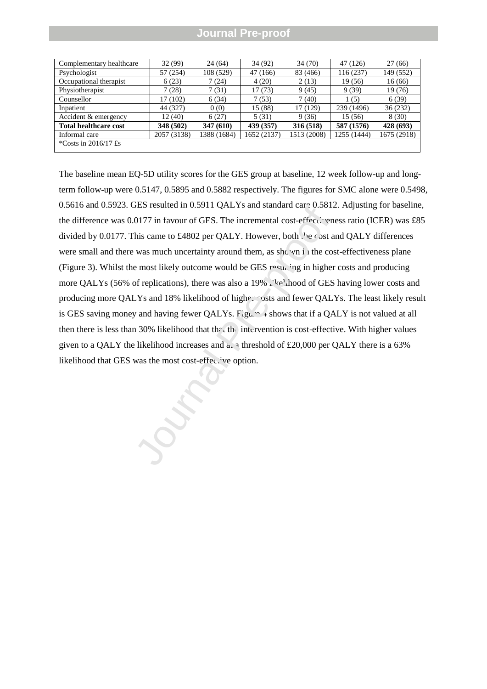| Complementary healthcare     | 32 (99)     | 24 (64)     | 34 (92)     | 34 (70)     | 47 (126)    | 27(66)      |
|------------------------------|-------------|-------------|-------------|-------------|-------------|-------------|
| Psychologist                 | 57 (254)    | 108 (529)   | 47 (166)    | 83 (466)    | 116(237)    | 149 (552)   |
| Occupational therapist       | 6(23)       | 7(24)       | 4(20)       | 2(13)       | 19 (56)     | 16(66)      |
| Physiotherapist              | 7(28)       | 7(31)       | 17(73)      | 9(45)       | 9(39)       | 19(76)      |
| Counsellor                   | 17 (102)    | 6(34)       | 7(53)       | 7(40)       | 1(5)        | 6(39)       |
| Inpatient                    | 44 (327)    | 0(0)        | 15 (88)     | 17 (129)    | 239 (1496)  | 36 (232)    |
| Accident & emergency         | 12 (40)     | 6(27)       | 5(31)       | 9(36)       | 15 (56)     | 8(30)       |
| <b>Total healthcare cost</b> | 348 (502)   | 347 (610)   | 439 (357)   | 316 (518)   | 587 (1576)  | 428 (693)   |
| Informal care                | 2057 (3138) | 1388 (1684) | 1652 (2137) | 1513 (2008) | 1255 (1444) | 1675 (2918) |
| *Costs in $2016/17$ £s       |             |             |             |             |             |             |

The baseline mean EQ-5D utility scores for the GES group at baseline, 12 week follow-up and longterm follow-up were 0.5147, 0.5895 and 0.5882 respectively. The figures for SMC alone were 0.5498, 0.5616 and 0.5923. GES resulted in 0.5911 QALYs and standard care 0.5812. Adjusting for baseline, the difference was 0.0177 in favour of GES. The incremental cost-effectiveness ratio (ICER) was £85 divided by 0.0177. This came to £4802 per QALY. However, both the cost and QALY differences were small and there was much uncertainty around them, as shown in the cost-effectiveness plane (Figure 3). Whilst the most likely outcome would be GES  $\gamma$  resulting in higher costs and producing more QALYs (56% of replications), there was also a 19% likelihood of GES having lower costs and producing more QALYs and 18% likelihood of higher costs and fewer QALYs. The least likely result is GES saving money and having fewer QALYs.  $\overline{F_1}$ gure  $\overline{F_2}$  abows that if a QALY is not valued at all then there is less than 30% likelihood that the intervention is cost-effective. With higher values given to a QALY the likelihood increases and  $a_n \alpha$  threshold of £20,000 per QALY there is a 63% 0.5010 and 0.5925. GES resulted in 0.5911 QAL 18 and standard car<sup>2</sup> 0.5612<br>the difference was 0.0177 in favour of GES. The incremental cost-effectiven<br>divided by 0.0177. This came to £4802 per QALY. However, both the cos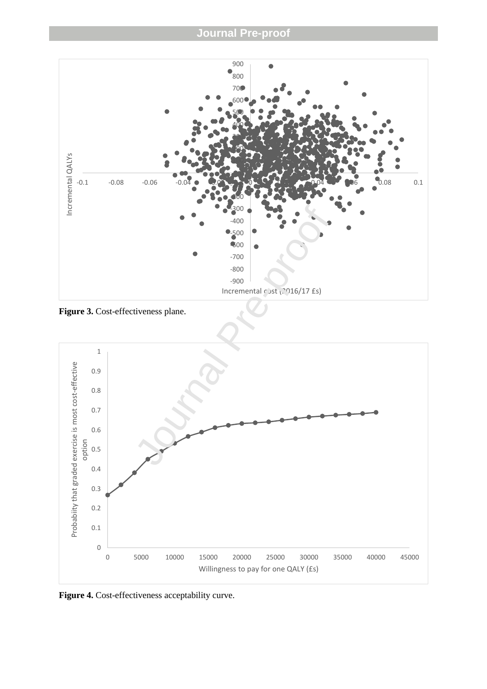

Figure 3. Cost-effectiveness plane.



Figure 4. Cost-effectiveness acceptability curve.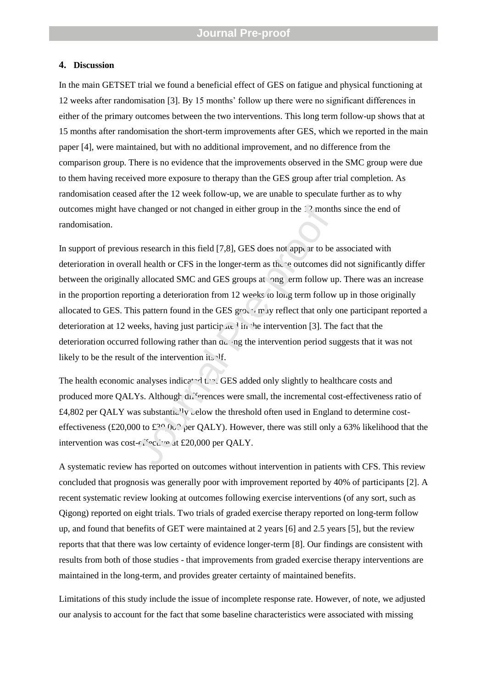### **4. Discussion**

In the main GETSET trial we found a beneficial effect of GES on fatigue and physical functioning at 12 weeks after randomisation [3]. By 15 months" follow up there were no significant differences in either of the primary outcomes between the two interventions. This long term follow-up shows that at 15 months after randomisation the short-term improvements after GES, which we reported in the main paper [4], were maintained, but with no additional improvement, and no difference from the comparison group. There is no evidence that the improvements observed in the SMC group were due to them having received more exposure to therapy than the GES group after trial completion. As randomisation ceased after the 12 week follow-up, we are unable to speculate further as to why outcomes might have changed or not changed in either group in the 12 months since the end of randomisation.

In support of previous research in this field [7,8], GES does not appear to be associated with deterioration in overall health or CFS in the longer-term as the se outcomes did not significantly differ between the originally allocated SMC and GES groups at long term follow up. There was an increase in the proportion reporting a deterioration from 12 weeks to long term follow up in those originally allocated to GES. This pattern found in the GES group may reflect that only one participant reported a deterioration at 12 weeks, having just participated in the intervention [3]. The fact that the deterioration occurred following rather than during the intervention period suggests that it was not likely to be the result of the intervention its  $\mathcal{F}$ . is changed or not changed in either group in the 12 month<br>as research in this field [7,8], GES does not appear to be<br>all health or CFS in the longer-term as the enticomes d<br>ly allocated SMC and GES groups at ong term foll

The health economic analyses indicated that GES added only slightly to healthcare costs and produced more QALYs. Although differences were small, the incremental cost-effectiveness ratio of  $£4,802$  per QALY was substantially below the threshold often used in England to determine costeffectiveness (£20,000 to £30,000 per QALY). However, there was still only a 63% likelihood that the intervention was cost-effective at £20,000 per QALY.

A systematic review has reported on outcomes without intervention in patients with CFS. This review concluded that prognosis was generally poor with improvement reported by 40% of participants [2]. A recent systematic review looking at outcomes following exercise interventions (of any sort, such as Qigong) reported on eight trials. Two trials of graded exercise therapy reported on long-term follow up, and found that benefits of GET were maintained at 2 years [6] and 2.5 years [5], but the review reports that that there was low certainty of evidence longer-term [8]. Our findings are consistent with results from both of those studies - that improvements from graded exercise therapy interventions are maintained in the long-term, and provides greater certainty of maintained benefits.

Limitations of this study include the issue of incomplete response rate. However, of note, we adjusted our analysis to account for the fact that some baseline characteristics were associated with missing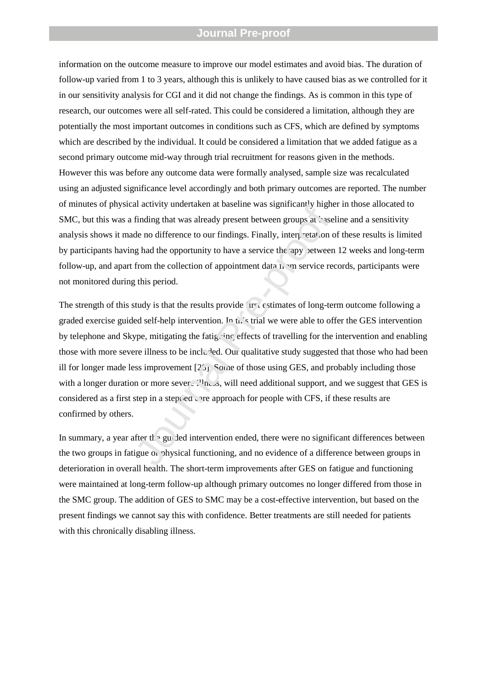information on the outcome measure to improve our model estimates and avoid bias. The duration of follow-up varied from 1 to 3 years, although this is unlikely to have caused bias as we controlled for it in our sensitivity analysis for CGI and it did not change the findings. As is common in this type of research, our outcomes were all self-rated. This could be considered a limitation, although they are potentially the most important outcomes in conditions such as CFS, which are defined by symptoms which are described by the individual. It could be considered a limitation that we added fatigue as a second primary outcome mid-way through trial recruitment for reasons given in the methods. However this was before any outcome data were formally analysed, sample size was recalculated using an adjusted significance level accordingly and both primary outcomes are reported. The number of minutes of physical activity undertaken at baseline was significantly higher in those allocated to SMC, but this was a finding that was already present between groups at baseline and a sensitivity analysis shows it made no difference to our findings. Finally, interpretation of these results is limited by participants having had the opportunity to have a service the apy between 12 weeks and long-term follow-up, and apart from the collection of appointment data  $h \rightarrow m$  service records, participants were not monitored during this period.

The strength of this study is that the results provide first estimates of long-term outcome following a graded exercise guided self-help intervention. In this trial we were able to offer the GES intervention by telephone and Skype, mitigating the fatiguing effects of travelling for the intervention and enabling those with more severe illness to be included. Our qualitative study suggested that those who had been ill for longer made less improvement  $[2\overline{5}]$ . Some of those using GES, and probably including those with a longer duration or more severe illness, will need additional support, and we suggest that GES is considered as a first step in a step ed  $\alpha$  are approach for people with CFS, if these results are confirmed by others. In darking that was significantly ingred<br>
finding that was already present between groups at 'sase<br>
de no difference to our findings. Finally, interpretation or<br>
g had the opportunity to have a service the apy setween<br>
fr

In summary, a year after the guided intervention ended, there were no significant differences between the two groups in fatigue or physical functioning, and no evidence of a difference between groups in deterioration in overall health. The short-term improvements after GES on fatigue and functioning were maintained at long-term follow-up although primary outcomes no longer differed from those in the SMC group. The addition of GES to SMC may be a cost-effective intervention, but based on the present findings we cannot say this with confidence. Better treatments are still needed for patients with this chronically disabling illness.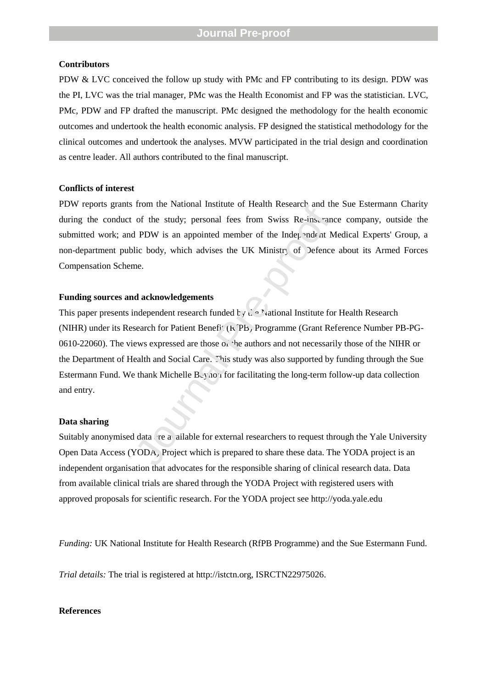#### **Contributors**

PDW & LVC conceived the follow up study with PMc and FP contributing to its design. PDW was the PI, LVC was the trial manager, PMc was the Health Economist and FP was the statistician. LVC, PMc, PDW and FP drafted the manuscript. PMc designed the methodology for the health economic outcomes and undertook the health economic analysis. FP designed the statistical methodology for the clinical outcomes and undertook the analyses. MVW participated in the trial design and coordination as centre leader. All authors contributed to the final manuscript.

#### **Conflicts of interest**

PDW reports grants from the National Institute of Health Research and the Sue Estermann Charity during the conduct of the study; personal fees from Swiss Re-insurance company, outside the submitted work; and PDW is an appointed member of the Independent Medical Experts' Group, a non-department public body, which advises the UK Ministry of Defence about its Armed Forces Compensation Scheme.

#### **Funding sources and acknowledgements**

This paper presents independent research funded by  $\mathbf{h} \in \mathbb{N}$  ational Institute for Health Research (NIHR) under its Research for Patient Benef<sup>y</sup>. (k PB, Programme (Grant Reference Number PB-PG-0610-22060). The views expressed are those of the authors and not necessarily those of the NIHR or the Department of Health and Social Care. This study was also supported by funding through the Sue Estermann Fund. We thank Michelle  $B_y$  io i for facilitating the long-term follow-up data collection and entry. From the National Institute of Ficant Research and in<br>of the study; personal fees from Swiss Re-instrant<br>PDW is an appointed member of the Independent  $\Lambda$  M<br>ic body, which advises the UK Ministry of Defence<br>me.<br>**d acknow** 

#### **Data sharing**

Suitably anonymised data re a ailable for external researchers to request through the Yale University Open Data Access (YODA) Project which is prepared to share these data. The YODA project is an independent organisation that advocates for the responsible sharing of clinical research data. Data from available clinical trials are shared through the YODA Project with registered users with approved proposals for scientific research. For the YODA project see http://yoda.yale.edu

*Funding:* UK National Institute for Health Research (RfPB Programme) and the Sue Estermann Fund.

*Trial details:* The trial is registered at http://istctn.org, ISRCTN22975026.

#### **References**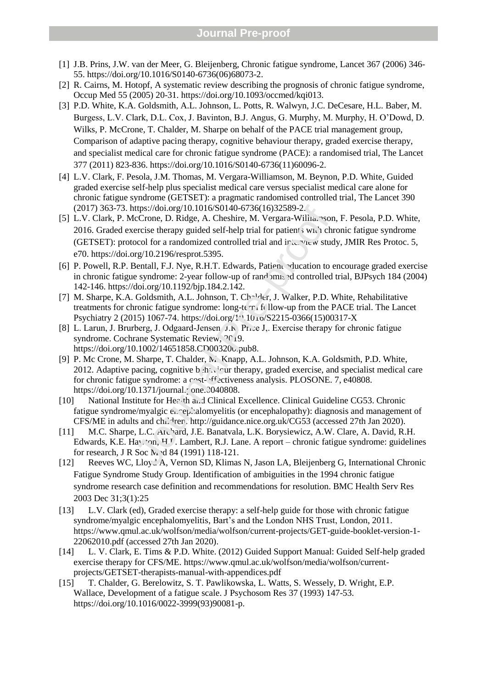- [1] J.B. Prins, J.W. van der Meer, G. Bleijenberg, Chronic fatigue syndrome, Lancet 367 (2006) 346- 55. https://doi.org/10.1016/S0140-6736(06)68073-2.
- [2] R. Cairns, M. Hotopf, A systematic review describing the prognosis of chronic fatigue syndrome, Occup Med 55 (2005) 20-31. https://doi.org/10.1093/occmed/kqi013.
- [3] P.D. White, K.A. Goldsmith, A.L. Johnson, L. Potts, R. Walwyn, J.C. DeCesare, H.L. Baber, M. Burgess, L.V. Clark, D.L. Cox, J. Bavinton, B.J. Angus, G. Murphy, M. Murphy, H. O"Dowd, D. Wilks, P. McCrone, T. Chalder, M. Sharpe on behalf of the PACE trial management group, Comparison of adaptive pacing therapy, cognitive behaviour therapy, graded exercise therapy, and specialist medical care for chronic fatigue syndrome (PACE): a randomised trial, The Lancet 377 (2011) 823-836. https://doi.org/10.1016/S0140-6736(11)60096-2.
- [4] L.V. Clark, F. Pesola, J.M. Thomas, M. Vergara-Williamson, M. Beynon, P.D. White, Guided graded exercise self-help plus specialist medical care versus specialist medical care alone for chronic fatigue syndrome (GETSET): a pragmatic randomised controlled trial, The Lancet 390 (2017) 363-73. https://doi.org/10.1016/S0140-6736(16)32589-2.
- [5] L.V. Clark, P. McCrone, D. Ridge, A. Cheshire, M. Vergara-Willia. Son, F. Pesola, P.D. White, 2016. Graded exercise therapy guided self-help trial for patient, with chronic fatigue syndrome (GETSET): protocol for a randomized controlled trial and  $ir \in \mathbb{Z}$  study, JMIR Res Protoc. 5, e70. https://doi.org/10.2196/resprot.5395. ttps://doi.org/10.1016/S0140-6736(16)32589-2.<br>
lcCrone, D. Ridge, A. Cheshire, M. Vergara-Willia. "son<br>
ercise therapy guided self-help trial for patient swi.'t chrocol for a randomized controlled trial and ir: " $\alpha$ " w s
- [6] P. Powell, R.P. Bentall, F.J. Nye, R.H.T. Edwards, Patient education to encourage graded exercise in chronic fatigue syndrome: 2-year follow-up of randomised controlled trial, BJPsych 184 (2004) 142-146. https://doi.org/10.1192/bjp.184.2.142.
- [7] M. Sharpe, K.A. Goldsmith, A.L. Johnson, T. Ch<sup>[1</sup>der, J. Walker, P.D. White, Rehabilitative treatments for chronic fatigue syndrome: long-te $\tau$ , follow-up from the PACE trial. The Lancet Psychiatry 2 (2015) 1067-74. https://doi.org/10.1010/S2215-0366(15)00317-X
- [8] L. Larun, J. Brurberg, J. Odgaard-Jensen, J.F. Price J., Exercise therapy for chronic fatigue syndrome. Cochrane Systematic Review,  $2^7$ 19. https://doi.org/10.1002/14651858.CD003200.pub8.
- [9] P. Mc Crone, M. Sharpe, T. Chalder, M. Knapp, A.L. Johnson, K.A. Goldsmith, P.D. White, 2012. Adaptive pacing, cognitive behaviour therapy, graded exercise, and specialist medical care for chronic fatigue syndrome: a cost-effectiveness analysis. PLOSONE. 7, e40808. https://doi.org/10.1371/journal. $\cdot$  one. $\cdot$ 040808.
- [10] National Institute for Hec th and Clinical Excellence. Clinical Guideline CG53. Chronic fatigue syndrome/myalgic encephalomyelitis (or encephalopathy): diagnosis and management of CFS/ME in adults and children. http://guidance.nice.org.uk/CG53 (accessed 27th Jan 2020).
- [11] M.C. Sharpe, L.C. Archard, J.E. Banatvala, L.K. Borysiewicz, A.W. Clare, A. David, R.H. Edwards, K.E. Hawton, H.<sup>J</sup>. Lambert, R.J. Lane. A report – chronic fatigue syndrome: guidelines for research, J R Soc Med 84 (1991) 118-121.
- [12] Reeves WC, Lloyd A, Vernon SD, Klimas N, Jason LA, Bleijenberg G, International Chronic Fatigue Syndrome Study Group. Identification of ambiguities in the 1994 chronic fatigue syndrome research case definition and recommendations for resolution. BMC Health Serv Res 2003 Dec 31;3(1):25
- [13] L.V. Clark (ed), Graded exercise therapy: a self-help guide for those with chronic fatigue syndrome/myalgic encephalomyelitis, Bart's and the London NHS Trust, London, 2011. https://www.qmul.ac.uk/wolfson/media/wolfson/current-projects/GET-guide-booklet-version-1- 22062010.pdf (accessed 27th Jan 2020).
- [14] L. V. Clark, E. Tims & P.D. White. (2012) Guided Support Manual: Guided Self-help graded exercise therapy for CFS/ME. https://www.qmul.ac.uk/wolfson/media/wolfson/currentprojects/GETSET-therapists-manual-with-appendices.pdf
- [15] T. Chalder, G. Berelowitz, S. T. Pawlikowska, L. Watts, S. Wessely, D. Wright, E.P. Wallace, Development of a fatigue scale. J Psychosom Res 37 (1993) 147-53. https://doi.org/10.1016/0022-3999(93)90081-p.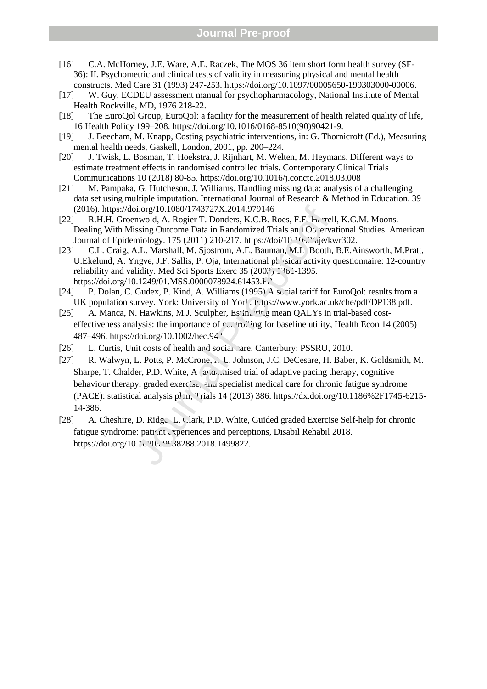- [16] C.A. McHorney, J.E. Ware, A.E. Raczek, The MOS 36 item short form health survey (SF-36): II. Psychometric and clinical tests of validity in measuring physical and mental health constructs. Med Care 31 (1993) 247-253. https://doi.org/10.1097/00005650-199303000-00006.
- [17] W. Guy, ECDEU assessment manual for psychopharmacology, National Institute of Mental Health Rockville, MD, 1976 218-22.
- [18] The EuroQol Group, EuroQol: a facility for the measurement of health related quality of life, 16 Health Policy 199–208. https://doi.org/10.1016/0168-8510(90)90421-9.
- [19] J. Beecham, M. Knapp, Costing psychiatric interventions, in: G. Thornicroft (Ed.), Measuring mental health needs, Gaskell, London, 2001, pp. 200–224.
- [20] J. Twisk, L. Bosman, T. Hoekstra, J. Rijnhart, M. Welten, M. Heymans. Different ways to estimate treatment effects in randomised controlled trials. Contemporary Clinical Trials Communications 10 (2018) 80-85. https://doi.org/10.1016/j.conctc.2018.03.008
- [21] M. Pampaka, G. Hutcheson, J. Williams. Handling missing data: analysis of a challenging data set using multiple imputation. International Journal of Research & Method in Education. 39 (2016). https://doi.org/10.1080/1743727X.2014.979146
- [22] R.H.H. Groenwold, A. Rogier T. Donders, K.C.B. Roes, F.E. H. rell, K.G.M. Moons. Dealing With Missing Outcome Data in Randomized Trials and Observational Studies. American Journal of Epidemiology. 175 (2011) 210-217. https://doi/10.1093/aje/kwr302.
- [23] C.L. Craig, A.L. Marshall, M. Sjostrom, A.E. Bauman, M.L. Booth, B.E.Ainsworth, M.Pratt, U.Ekelund, A. Yngve, J.F. Sallis, P. Oja, International physical activity questionnaire: 12-country reliability and validity. Med Sci Sports Exerc 35 (200?) 1381-1395. https://doi.org/10.1249/01.MSS.0000078924.61453.F.
- [24] P. Dolan, C. Gudex, P. Kind, A. Williams (1995) A so rial tariff for EuroQol: results from a UK population survey. York: University of York. https://www.york.ac.uk/che/pdf/DP138.pdf.
- [25] A. Manca, N. Hawkins, M.J. Sculpher, Estin, ting mean QALYs in trial-based costeffectiveness analysis: the importance of  $\sim$  to  $\sim$  to  $\sim$  in the utility, Health Econ 14 (2005) 487–496. https://doi.org/10.1002/hec.944.
- [26] L. Curtis, Unit costs of health and social care. Canterbury: PSSRU, 2010.
- [27] R. Walwyn, L. Potts, P. McCrone, A. L. Johnson, J.C. DeCesare, H. Baber, K. Goldsmith, M. Sharpe, T. Chalder, P.D. White, A  $\alpha$  at nised trial of adaptive pacing therapy, cognitive behaviour therapy, graded exercise, and specialist medical care for chronic fatigue syndrome (PACE): statistical analysis pl n, Trials 14 (2013) 386. https://dx.doi.org/10.1186%2F1745-6215-14-386. (2016). https://doi.org/10.1080/1743727X.2014.979146<br>
R.H.H. Groenwold, A. Rogier T. Donders, K.C.B. Roes, F.E. h. vrel<br>
Dealing With Missing Outcome Data in Randomized Trials and Ob erva<br>
Journal of Epidemiology. 175 (20
- [28] A. Cheshire, D. Ridge, L. Clark, P.D. White, Guided graded Exercise Self-help for chronic fatigue syndrome: patient experiences and perceptions, Disabil Rehabil 2018.